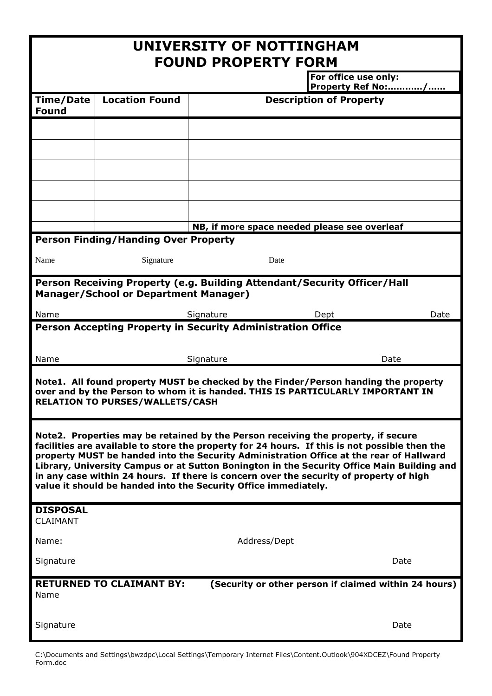| UNIVERSITY OF NOTTINGHAM<br><b>FOUND PROPERTY FORM</b>                                                                                                                                                                                                                                                                                                                                                                                                                                                                                   |                       |                                              |                                |                   |  |
|------------------------------------------------------------------------------------------------------------------------------------------------------------------------------------------------------------------------------------------------------------------------------------------------------------------------------------------------------------------------------------------------------------------------------------------------------------------------------------------------------------------------------------------|-----------------------|----------------------------------------------|--------------------------------|-------------------|--|
|                                                                                                                                                                                                                                                                                                                                                                                                                                                                                                                                          |                       |                                              | For office use only:           | Property Ref No:/ |  |
| <b>Time/Date</b><br><b>Found</b>                                                                                                                                                                                                                                                                                                                                                                                                                                                                                                         | <b>Location Found</b> |                                              | <b>Description of Property</b> |                   |  |
|                                                                                                                                                                                                                                                                                                                                                                                                                                                                                                                                          |                       |                                              |                                |                   |  |
|                                                                                                                                                                                                                                                                                                                                                                                                                                                                                                                                          |                       |                                              |                                |                   |  |
|                                                                                                                                                                                                                                                                                                                                                                                                                                                                                                                                          |                       |                                              |                                |                   |  |
|                                                                                                                                                                                                                                                                                                                                                                                                                                                                                                                                          |                       |                                              |                                |                   |  |
|                                                                                                                                                                                                                                                                                                                                                                                                                                                                                                                                          |                       | NB, if more space needed please see overleaf |                                |                   |  |
| <b>Person Finding/Handing Over Property</b>                                                                                                                                                                                                                                                                                                                                                                                                                                                                                              |                       |                                              |                                |                   |  |
| Name                                                                                                                                                                                                                                                                                                                                                                                                                                                                                                                                     | Signature             | Date                                         |                                |                   |  |
| Person Receiving Property (e.g. Building Attendant/Security Officer/Hall<br><b>Manager/School or Department Manager)</b>                                                                                                                                                                                                                                                                                                                                                                                                                 |                       |                                              |                                |                   |  |
| Name                                                                                                                                                                                                                                                                                                                                                                                                                                                                                                                                     |                       | Signature                                    | Dept                           | Date              |  |
| Person Accepting Property in Security Administration Office                                                                                                                                                                                                                                                                                                                                                                                                                                                                              |                       |                                              |                                |                   |  |
| Name                                                                                                                                                                                                                                                                                                                                                                                                                                                                                                                                     |                       | Signature                                    |                                | Date              |  |
| Note1. All found property MUST be checked by the Finder/Person handing the property<br>over and by the Person to whom it is handed. THIS IS PARTICULARLY IMPORTANT IN<br><b>RELATION TO PURSES/WALLETS/CASH</b>                                                                                                                                                                                                                                                                                                                          |                       |                                              |                                |                   |  |
| Note2. Properties may be retained by the Person receiving the property, if secure<br>facilities are available to store the property for 24 hours. If this is not possible then the<br>property MUST be handed into the Security Administration Office at the rear of Hallward<br>Library, University Campus or at Sutton Bonington in the Security Office Main Building and<br>in any case within 24 hours. If there is concern over the security of property of high<br>value it should be handed into the Security Office immediately. |                       |                                              |                                |                   |  |
| <b>DISPOSAL</b><br><b>CLAIMANT</b>                                                                                                                                                                                                                                                                                                                                                                                                                                                                                                       |                       |                                              |                                |                   |  |
| Name:                                                                                                                                                                                                                                                                                                                                                                                                                                                                                                                                    |                       | Address/Dept                                 |                                |                   |  |
| Signature                                                                                                                                                                                                                                                                                                                                                                                                                                                                                                                                |                       |                                              |                                | Date              |  |
| <b>RETURNED TO CLAIMANT BY:</b><br>(Security or other person if claimed within 24 hours)<br>Name                                                                                                                                                                                                                                                                                                                                                                                                                                         |                       |                                              |                                |                   |  |
| Signature                                                                                                                                                                                                                                                                                                                                                                                                                                                                                                                                |                       |                                              |                                | Date              |  |